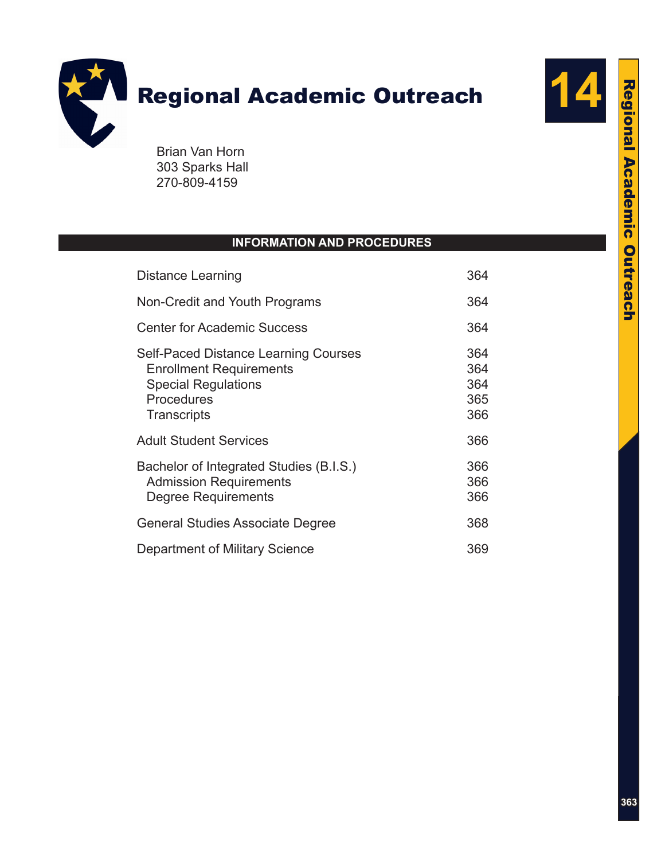

303 Sparks Hall 270-809-4159

# **INFORMATION AND PROCEDURES**

| <b>Distance Learning</b>                                                                                                                 |                                 |  |
|------------------------------------------------------------------------------------------------------------------------------------------|---------------------------------|--|
| Non-Credit and Youth Programs                                                                                                            | 364                             |  |
| <b>Center for Academic Success</b>                                                                                                       | 364                             |  |
| <b>Self-Paced Distance Learning Courses</b><br><b>Enrollment Requirements</b><br><b>Special Regulations</b><br>Procedures<br>Transcripts | 364<br>364<br>364<br>365<br>366 |  |
| <b>Adult Student Services</b>                                                                                                            | 366                             |  |
| Bachelor of Integrated Studies (B.I.S.)<br><b>Admission Requirements</b><br><b>Degree Requirements</b>                                   | 366<br>366<br>366               |  |
| <b>General Studies Associate Degree</b>                                                                                                  | 368                             |  |
| <b>Department of Military Science</b>                                                                                                    | 369                             |  |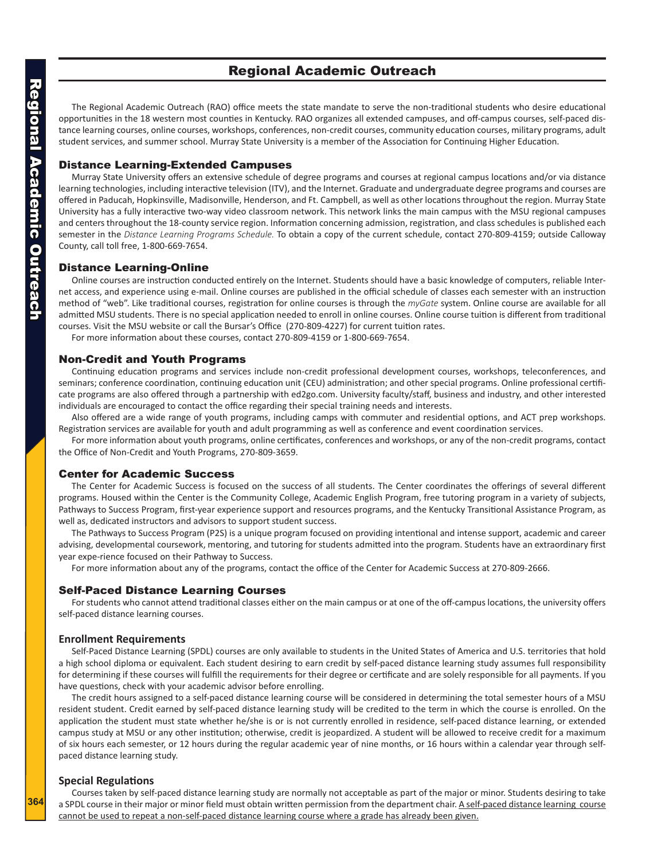# <span id="page-1-0"></span>Regional Academic Outreach Regional Academic Outreach

# Regional Academic Outreach

The Regional Academic Outreach (RAO) office meets the state mandate to serve the non-traditional students who desire educational opportunities in the 18 western most counties in Kentucky. RAO organizes all extended campuses, and off-campus courses, self-paced distance learning courses, online courses, workshops, conferences, non-credit courses, community education courses, military programs, adult student services, and summer school. Murray State University is a member of the Association for Continuing Higher Education.

# Distance Learning-Extended Campuses

Murray State University offers an extensive schedule of degree programs and courses at regional campus locations and/or via distance learning technologies, including interactive television (ITV), and the Internet. Graduate and undergraduate degree programs and courses are offered in Paducah, Hopkinsville, Madisonville, Henderson, and Ft. Campbell, as well as other locations throughout the region. Murray State University has a fully interactive two-way video classroom network. This network links the main campus with the MSU regional campuses and centers throughout the 18-county service region. Information concerning admission, registration, and class schedules is published each semester in the *Distance Learning Programs Schedule.* To obtain a copy of the current schedule, contact 270-809-4159; outside Calloway County, call toll free, 1-800-669-7654.

## Distance Learning-Online

Online courses are instruction conducted entirely on the Internet. Students should have a basic knowledge of computers, reliable Internet access, and experience using e-mail. Online courses are published in the official schedule of classes each semester with an instruction method of "web". Like traditional courses, registration for online courses is through the *myGate* system. Online course are available for all admitted MSU students. There is no special application needed to enroll in online courses. Online course tuition is different from traditional courses. Visit the MSU website or call the Bursar's Office (270-809-4227) for current tuition rates.

For more information about these courses, contact 270-809-4159 or 1-800-669-7654.

### Non-Credit and Youth Programs

Continuing education programs and services include non-credit professional development courses, workshops, teleconferences, and seminars; conference coordination, continuing education unit (CEU) administration; and other special programs. Online professional certificate programs are also offered through a partnership with ed2go.com. University faculty/staff, business and industry, and other interested individuals are encouraged to contact the office regarding their special training needs and interests.

Also offered are a wide range of youth programs, including camps with commuter and residential options, and ACT prep workshops. Registration services are available for youth and adult programming as well as conference and event coordination services.

For more information about youth programs, online certificates, conferences and workshops, or any of the non-credit programs, contact the Office of Non-Credit and Youth Programs, 270-809-3659.

# Center for Academic Success

The Center for Academic Success is focused on the success of all students. The Center coordinates the offerings of several different programs. Housed within the Center is the Community College, Academic English Program, free tutoring program in a variety of subjects, Pathways to Success Program, first-year experience support and resources programs, and the Kentucky Transitional Assistance Program, as well as, dedicated instructors and advisors to support student success.

The Pathways to Success Program (P2S) is a unique program focused on providing intentional and intense support, academic and career advising, developmental coursework, mentoring, and tutoring for students admitted into the program. Students have an extraordinary first year expe-rience focused on their Pathway to Success.

For more information about any of the programs, contact the office of the Center for Academic Success at 270-809-2666.

### Self-Paced Distance Learning Courses

For students who cannot attend traditional classes either on the main campus or at one of the off-campus locations, the university offers self-paced distance learning courses.

### **Enrollment Requirements**

Self-Paced Distance Learning (SPDL) courses are only available to students in the United States of America and U.S. territories that hold a high school diploma or equivalent. Each student desiring to earn credit by self-paced distance learning study assumes full responsibility for determining if these courses will fulfill the requirements for their degree or certificate and are solely responsible for all payments. If you have questions, check with your academic advisor before enrolling.

The credit hours assigned to a self-paced distance learning course will be considered in determining the total semester hours of a MSU resident student. Credit earned by self-paced distance learning study will be credited to the term in which the course is enrolled. On the application the student must state whether he/she is or is not currently enrolled in residence, self-paced distance learning, or extended campus study at MSU or any other institution; otherwise, credit is jeopardized. A student will be allowed to receive credit for a maximum of six hours each semester, or 12 hours during the regular academic year of nine months, or 16 hours within a calendar year through selfpaced distance learning study.

### **Special Regulations**

Courses taken by self-paced distance learning study are normally not acceptable as part of the major or minor. Students desiring to take a SPDL course in their major or minor field must obtain written permission from the department chair. A self-paced distance learning course cannot be used to repeat a non-self-paced distance learning course where a grade has already been given.

**364**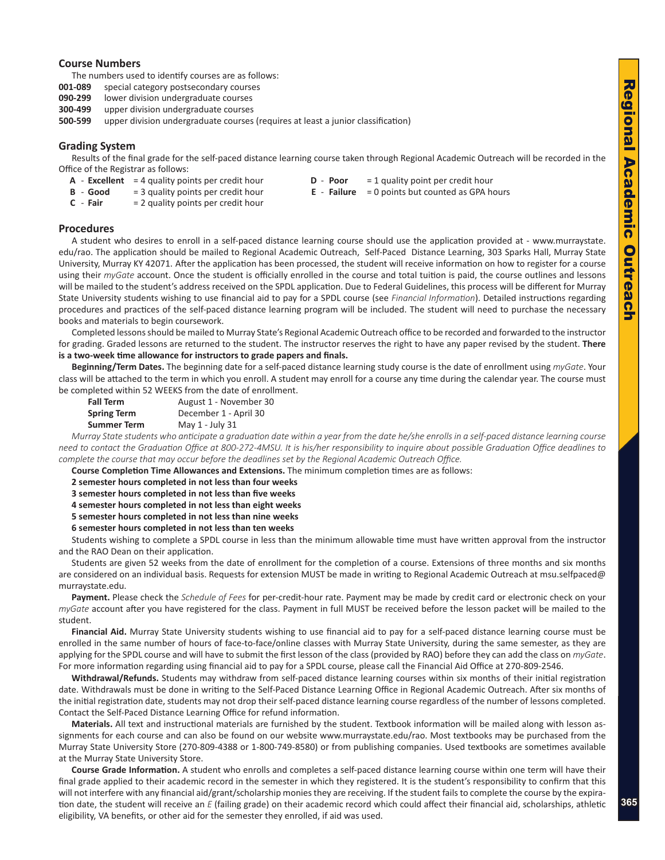### <span id="page-2-0"></span>**Course Numbers**

The numbers used to identify courses are as follows:

- **001-089** special category postsecondary courses
- **090-299** lower division undergraduate courses
- **300-499** upper division undergraduate courses
- **500-599** upper division undergraduate courses (requires at least a junior classification)

### **Grading System**

Results of the final grade for the self-paced distance learning course taken through Regional Academic Outreach will be recorded in the Office of the Registrar as follows:

- **A Excellent** = 4 quality points per credit hour **D Poor** = 1 quality point per credit hour
	-
- **C Fair** = 2 quality points per credit hour
- **B Good** = 3 quality points per credit hour **E Failure** = 0 points but counted as GPA hours
- **Procedures**

A student who desires to enroll in a self-paced distance learning course should use the application provided at - www.murraystate. edu/rao. The application should be mailed to Regional Academic Outreach, Self-Paced Distance Learning, 303 Sparks Hall, Murray State University, Murray KY 42071. After the application has been processed, the student will receive information on how to register for a course using their *myGate* account. Once the student is officially enrolled in the course and total tuition is paid, the course outlines and lessons will be mailed to the student's address received on the SPDL application. Due to Federal Guidelines, this process will be different for Murray State University students wishing to use financial aid to pay for a SPDL course (see *Financial Information*). Detailed instructions regarding procedures and practices of the self-paced distance learning program will be included. The student will need to purchase the necessary books and materials to begin coursework.

Completed lessons should be mailed to Murray State's Regional Academic Outreach office to be recorded and forwarded to the instructor for grading. Graded lessons are returned to the student. The instructor reserves the right to have any paper revised by the student. **There is a two-week time allowance for instructors to grade papers and finals.** 

**Beginning/Term Dates.** The beginning date for a self-paced distance learning study course is the date of enrollment using *myGate*. Your class will be attached to the term in which you enroll. A student may enroll for a course any time during the calendar year. The course must be completed within 52 WEEKS from the date of enrollment.

| <b>Fall Term</b>   | August 1 - November 30 |
|--------------------|------------------------|
| <b>Spring Term</b> | December 1 - April 30  |
| <b>Summer Term</b> | May 1 - July 31        |

*Murray State students who anticipate a graduation date within a year from the date he/she enrolls in a self-paced distance learning course need to contact the Graduation Office at 800-272-4MSU. It is his/her responsibility to inquire about possible Graduation Office deadlines to complete the course that may occur before the deadlines set by the Regional Academic Outreach Office.*

**Course Completion Time Allowances and Extensions.** The minimum completion times are as follows:

**2 semester hours completed in not less than four weeks** 

**3 semester hours completed in not less than five weeks** 

**4 semester hours completed in not less than eight weeks** 

**5 semester hours completed in not less than nine weeks**

**6 semester hours completed in not less than ten weeks** 

Students wishing to complete a SPDL course in less than the minimum allowable time must have written approval from the instructor and the RAO Dean on their application.

Students are given 52 weeks from the date of enrollment for the completion of a course. Extensions of three months and six months are considered on an individual basis. Requests for extension MUST be made in writing to Regional Academic Outreach at msu.selfpaced@ murraystate.edu.

**Payment.** Please check the *Schedule of Fees* for per-credit-hour rate. Payment may be made by credit card or electronic check on your *myGate* account after you have registered for the class. Payment in full MUST be received before the lesson packet will be mailed to the student.

**Financial Aid.** Murray State University students wishing to use financial aid to pay for a self-paced distance learning course must be enrolled in the same number of hours of face-to-face/online classes with Murray State University, during the same semester, as they are applying for the SPDL course and will have to submit the first lesson of the class (provided by RAO) before they can add the class on *myGate*. For more information regarding using financial aid to pay for a SPDL course, please call the Financial Aid Office at 270-809-2546.

**Withdrawal/Refunds.** Students may withdraw from self-paced distance learning courses within six months of their initial registration date. Withdrawals must be done in writing to the Self-Paced Distance Learning Office in Regional Academic Outreach. After six months of the initial registration date, students may not drop their self-paced distance learning course regardless of the number of lessons completed. Contact the Self-Paced Distance Learning Office for refund information.

**Materials.** All text and instructional materials are furnished by the student. Textbook information will be mailed along with lesson assignments for each course and can also be found on our website www.murraystate.edu/rao. Most textbooks may be purchased from the Murray State University Store (270-809-4388 or 1-800-749-8580) or from publishing companies. Used textbooks are sometimes available at the Murray State University Store.

**Course Grade Information.** A student who enrolls and completes a self-paced distance learning course within one term will have their final grade applied to their academic record in the semester in which they registered. It is the student's responsibility to confirm that this will not interfere with any financial aid/grant/scholarship monies they are receiving. If the student fails to complete the course by the expiration date, the student will receive an *E* (failing grade) on their academic record which could affect their financial aid, scholarships, athletic eligibility, VA benefits, or other aid for the semester they enrolled, if aid was used.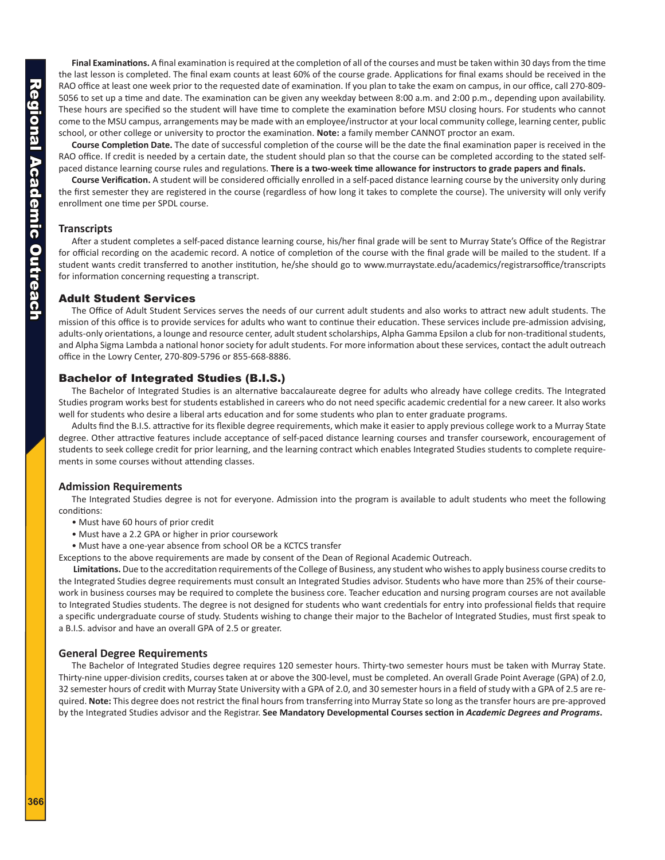<span id="page-3-0"></span>**Final Examinations.** A final examination is required at the completion of all of the courses and must be taken within 30 days from the time the last lesson is completed. The final exam counts at least 60% of the course grade. Applications for final exams should be received in the RAO office at least one week prior to the requested date of examination. If you plan to take the exam on campus, in our office, call 270-809- 5056 to set up a time and date. The examination can be given any weekday between 8:00 a.m. and 2:00 p.m., depending upon availability. These hours are specified so the student will have time to complete the examination before MSU closing hours. For students who cannot come to the MSU campus, arrangements may be made with an employee/instructor at your local community college, learning center, public school, or other college or university to proctor the examination. **Note:** a family member CANNOT proctor an exam.

**Course Completion Date.** The date of successful completion of the course will be the date the final examination paper is received in the RAO office. If credit is needed by a certain date, the student should plan so that the course can be completed according to the stated selfpaced distance learning course rules and regulations. **There is a two-week time allowance for instructors to grade papers and finals.**

**Course Verification.** A student will be considered officially enrolled in a self-paced distance learning course by the university only during the first semester they are registered in the course (regardless of how long it takes to complete the course). The university will only verify enrollment one time per SPDL course.

# **Transcripts**

After a student completes a self-paced distance learning course, his/her final grade will be sent to Murray State's Office of the Registrar for official recording on the academic record. A notice of completion of the course with the final grade will be mailed to the student. If a student wants credit transferred to another institution, he/she should go to www.murraystate.edu/academics/registrarsoffice/transcripts for information concerning requesting a transcript.

# Adult Student Services

The Office of Adult Student Services serves the needs of our current adult students and also works to attract new adult students. The mission of this office is to provide services for adults who want to continue their education. These services include pre-admission advising, adults-only orientations, a lounge and resource center, adult student scholarships, Alpha Gamma Epsilon a club for non-traditional students, and Alpha Sigma Lambda a national honor society for adult students. For more information about these services, contact the adult outreach office in the Lowry Center, 270-809-5796 or 855-668-8886.

# Bachelor of Integrated Studies (B.I.S.)

The Bachelor of Integrated Studies is an alternative baccalaureate degree for adults who already have college credits. The Integrated Studies program works best for students established in careers who do not need specific academic credential for a new career. It also works well for students who desire a liberal arts education and for some students who plan to enter graduate programs.

Adults find the B.I.S. attractive for its flexible degree requirements, which make it easier to apply previous college work to a Murray State degree. Other attractive features include acceptance of self-paced distance learning courses and transfer coursework, encouragement of students to seek college credit for prior learning, and the learning contract which enables Integrated Studies students to complete requirements in some courses without attending classes.

# **Admission Requirements**

The Integrated Studies degree is not for everyone. Admission into the program is available to adult students who meet the following conditions:

- Must have 60 hours of prior credit
- Must have a 2.2 GPA or higher in prior coursework
- Must have a one-year absence from school OR be a KCTCS transfer

Exceptions to the above requirements are made by consent of the Dean of Regional Academic Outreach.

**Limitations.** Due to the accreditation requirements of the College of Business, any student who wishes to apply business course credits to the Integrated Studies degree requirements must consult an Integrated Studies advisor. Students who have more than 25% of their coursework in business courses may be required to complete the business core. Teacher education and nursing program courses are not available to Integrated Studies students. The degree is not designed for students who want credentials for entry into professional fields that require a specific undergraduate course of study. Students wishing to change their major to the Bachelor of Integrated Studies, must first speak to a B.I.S. advisor and have an overall GPA of 2.5 or greater.

# **General Degree Requirements**

The Bachelor of Integrated Studies degree requires 120 semester hours. Thirty-two semester hours must be taken with Murray State. Thirty-nine upper-division credits, courses taken at or above the 300-level, must be completed. An overall Grade Point Average (GPA) of 2.0, 32 semester hours of credit with Murray State University with a GPA of 2.0, and 30 semester hours in a field of study with a GPA of 2.5 are required. **Note:** This degree does not restrict the final hours from transferring into Murray State so long as the transfer hours are pre-approved by the Integrated Studies advisor and the Registrar. **See Mandatory Developmental Courses section in** *Academic Degrees and Programs***.**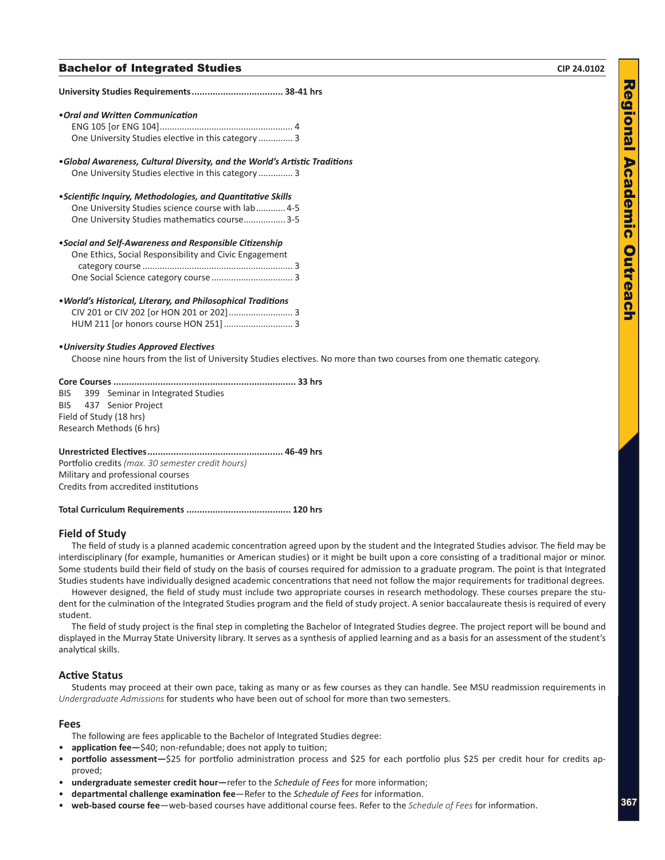# **Bachelor of Integrated Studies**   $CIP 24.0102$

| • Oral and Written Communication                                                                                      |
|-----------------------------------------------------------------------------------------------------------------------|
|                                                                                                                       |
| One University Studies elective in this category  3                                                                   |
| •Global Awareness, Cultural Diversity, and the World's Artistic Traditions                                            |
| One University Studies elective in this category  3                                                                   |
| • Scientific Inquiry, Methodologies, and Quantitative Skills                                                          |
| One University Studies science course with lab 4-5                                                                    |
| One University Studies mathematics course 3-5                                                                         |
| . Social and Self-Awareness and Responsible Citizenship                                                               |
| One Ethics, Social Responsibility and Civic Engagement                                                                |
|                                                                                                                       |
|                                                                                                                       |
| . World's Historical, Literary, and Philosophical Traditions                                                          |
|                                                                                                                       |
|                                                                                                                       |
| • University Studies Approved Electives                                                                               |
| Choose nine hours from the list of University Studies electives. No more than two courses from one thematic category. |
|                                                                                                                       |
| 399 Seminar in Integrated Studies<br><b>BIS</b>                                                                       |
| 437 Senior Project<br>BIS                                                                                             |
| Field of Study (18 hrs)                                                                                               |
| Research Methods (6 hrs)                                                                                              |
|                                                                                                                       |
| Portfolio credits (max. 30 semester credit hours)                                                                     |
| Military and professional courses                                                                                     |
| Credits from accredited institutions                                                                                  |
|                                                                                                                       |

# **Field of Study**

The field of study is a planned academic concentration agreed upon by the student and the Integrated Studies advisor. The field may be interdisciplinary (for example, humanities or American studies) or it might be built upon a core consisting of a traditional major or minor. Some students build their field of study on the basis of courses required for admission to a graduate program. The point is that Integrated Studies students have individually designed academic concentrations that need not follow the major requirements for traditional degrees.

However designed, the field of study must include two appropriate courses in research methodology. These courses prepare the student for the culmination of the Integrated Studies program and the field of study project. A senior baccalaureate thesis is required of every student.

The field of study project is the final step in completing the Bachelor of Integrated Studies degree. The project report will be bound and displayed in the Murray State University library. It serves as a synthesis of applied learning and as a basis for an assessment of the student's analytical skills.

# **Active Status**

Students may proceed at their own pace, taking as many or as few courses as they can handle. See MSU readmission requirements in *Undergraduate Admissions* for students who have been out of school for more than two semesters.

### **Fees**

The following are fees applicable to the Bachelor of Integrated Studies degree:

- **application fee**—\$40; non-refundable; does not apply to tuition;
- portfolio assessment-\$25 for portfolio administration process and \$25 for each portfolio plus \$25 per credit hour for credits approved;
- • **undergraduate semester credit hour—**refer to the *Schedule of Fees* for more information;
- • **departmental challenge examination fee**—Refer to the *Schedule of Fees* for information.
- • **web-based course fee**—web-based courses have additional course fees. Refer to the *Schedule of Fees* for information.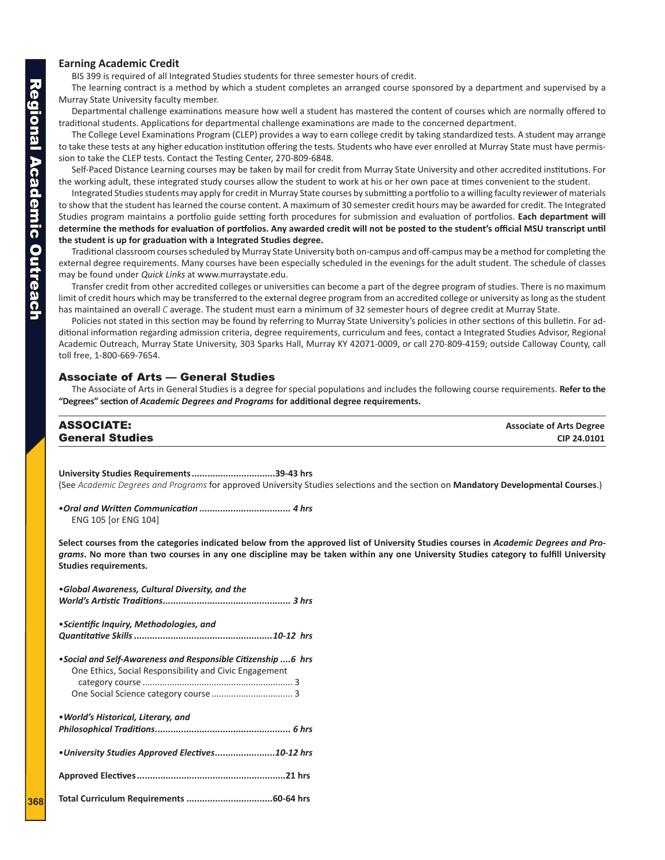# <span id="page-5-0"></span>**Earning Academic Credit**

BIS 399 is required of all Integrated Studies students for three semester hours of credit.

The learning contract is a method by which a student completes an arranged course sponsored by a department and supervised by a Murray State University faculty member.

Departmental challenge examinations measure how well a student has mastered the content of courses which are normally offered to traditional students. Applications for departmental challenge examinations are made to the concerned department.

The College Level Examinations Program (CLEP) provides a way to earn college credit by taking standardized tests. A student may arrange to take these tests at any higher education institution offering the tests. Students who have ever enrolled at Murray State must have permission to take the CLEP tests. Contact the Testing Center, 270-809-6848.

Self-Paced Distance Learning courses may be taken by mail for credit from Murray State University and other accredited institutions. For the working adult, these integrated study courses allow the student to work at his or her own pace at times convenient to the student.

Integrated Studies students may apply for credit in Murray State courses by submitting a portfolio to a willing faculty reviewer of materials to show that the student has learned the course content. A maximum of 30 semester credit hours may be awarded for credit. The Integrated Studies program maintains a portfolio guide setting forth procedures for submission and evaluation of portfolios. **Each department will determine the methods for evaluation of portfolios. Any awarded credit will not be posted to the student's official MSU transcript until the student is up for graduation with a Integrated Studies degree.**

Traditional classroom courses scheduled by Murray State University both on-campus and off-campus may be a method for completing the external degree requirements. Many courses have been especially scheduled in the evenings for the adult student. The schedule of classes may be found under *Quick Links* at www.murraystate.edu.

Transfer credit from other accredited colleges or universities can become a part of the degree program of studies. There is no maximum limit of credit hours which may be transferred to the external degree program from an accredited college or university as long as the student has maintained an overall *C* average. The student must earn a minimum of 32 semester hours of degree credit at Murray State.

Policies not stated in this section may be found by referring to Murray State University's policies in other sections of this bulletin. For additional information regarding admission criteria, degree requirements, curriculum and fees, contact a Integrated Studies Advisor, Regional Academic Outreach, Murray State University, 303 Sparks Hall, Murray KY 42071-0009, or call 270-809-4159; outside Calloway County, call toll free, 1-800-669-7654.

# Associate of Arts — General Studies

The Associate of Arts in General Studies is a degree for special populations and includes the following course requirements. **Refer to the "Degrees" section of** *Academic Degrees and Programs* **for additional degree requirements.**

| <b>ASSOCIATE:</b>      | <b>Associate of Arts Degree</b> |
|------------------------|---------------------------------|
| <b>General Studies</b> | CIP 24.0101                     |
|                        |                                 |

**University Studies Requirements................................39-43 hrs** (See *Academic Degrees and Programs* for approved University Studies selections and the section on **Mandatory Developmental Courses**.)

•*Oral and Written Communication ................................... 4 hrs*  ENG 105 [or ENG 104]

**Select courses from the categories indicated below from the approved list of University Studies courses in** *Academic Degrees and Programs***. No more than two courses in any one discipline may be taken within any one University Studies category to fulfill University Studies requirements.**

| •Global Awareness, Cultural Diversity, and the                                                                         |  |  |  |  |
|------------------------------------------------------------------------------------------------------------------------|--|--|--|--|
| • Scientific Inquiry, Methodologies, and                                                                               |  |  |  |  |
| •Social and Self-Awareness and Responsible Citizenship 6 hrs<br>One Ethics, Social Responsibility and Civic Engagement |  |  |  |  |
| • World's Historical, Literary, and                                                                                    |  |  |  |  |
| • University Studies Approved Electives10-12 hrs                                                                       |  |  |  |  |
|                                                                                                                        |  |  |  |  |
|                                                                                                                        |  |  |  |  |

**368**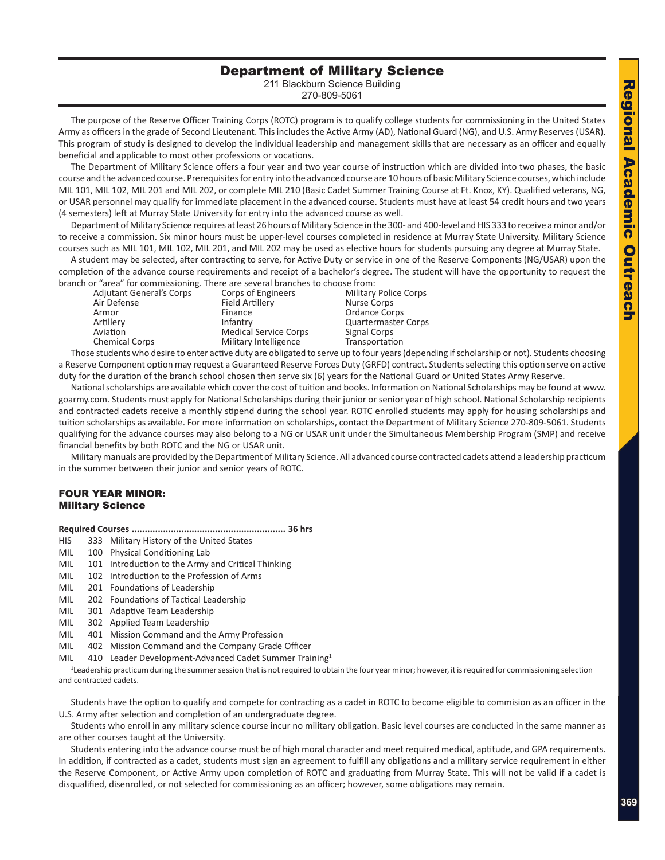# Department of Military Science

211 Blackburn Science Building 270-809-5061

<span id="page-6-0"></span>The purpose of the Reserve Officer Training Corps (ROTC) program is to qualify college students for commissioning in the United States Army as officers in the grade of Second Lieutenant. This includes the Active Army (AD), National Guard (NG), and U.S. Army Reserves (USAR). This program of study is designed to develop the individual leadership and management skills that are necessary as an officer and equally beneficial and applicable to most other professions or vocations.

The Department of Military Science offers a four year and two year course of instruction which are divided into two phases, the basic course and the advanced course. Prerequisites for entry into the advanced course are 10 hours of basic Military Science courses, which include MIL 101, MIL 102, MIL 201 and MIL 202, or complete MIL 210 (Basic Cadet Summer Training Course at Ft. Knox, KY). Qualified veterans, NG, or USAR personnel may qualify for immediate placement in the advanced course. Students must have at least 54 credit hours and two years (4 semesters) left at Murray State University for entry into the advanced course as well.

Department of Military Science requires at least 26 hours of Military Science in the 300- and 400-level and HIS 333 to receive a minor and/or to receive a commission. Six minor hours must be upper-level courses completed in residence at Murray State University. Military Science courses such as MIL 101, MIL 102, MIL 201, and MIL 202 may be used as elective hours for students pursuing any degree at Murray State.

A student may be selected, after contracting to serve, for Active Duty or service in one of the Reserve Components (NG/USAR) upon the completion of the advance course requirements and receipt of a bachelor's degree. The student will have the opportunity to request the branch or "area" for commissioning. There are several branches to choose from:

Adjutant General's Corps Corps of Engineers Military Police Corps Air Defense **Field Artillery Nurse Corps** Armor **Finance Finance Company Company Company Company Company Company Company Company Company Company Company Company Company Company Company Company Company Company Company Compa** Artillery **Infantry Communisty Artillery Communisty Communisty Communisty Communisty Communisty Communisty Communisty Communisty Communisty Communisty Communisty Communisty Communisty Communisty Communisty Communisty Com** Aviation Medical Service Corps Signal Corps Chemical Corps **Military Intelligence** Transportation

Those students who desire to enter active duty are obligated to serve up to four years (depending if scholarship or not). Students choosing a Reserve Component option may request a Guaranteed Reserve Forces Duty (GRFD) contract. Students selecting this option serve on active duty for the duration of the branch school chosen then serve six (6) years for the National Guard or United States Army Reserve.

National scholarships are available which cover the cost of tuition and books. Information on National Scholarships may be found at www. goarmy.com. Students must apply for National Scholarships during their junior or senior year of high school. National Scholarship recipients and contracted cadets receive a monthly stipend during the school year. ROTC enrolled students may apply for housing scholarships and tuition scholarships as available. For more information on scholarships, contact the Department of Military Science 270-809-5061. Students qualifying for the advance courses may also belong to a NG or USAR unit under the Simultaneous Membership Program (SMP) and receive financial benefits by both ROTC and the NG or USAR unit.

Military manuals are provided by the Department of Military Science. All advanced course contracted cadets attend a leadership practicum in the summer between their junior and senior years of ROTC.

# FOUR YEAR MINOR: Military Science

- **Required Courses ........................................................... 36 hrs**
- HIS 333 Military History of the United States
- MIL 100 Physical Conditioning Lab
- MIL 101 Introduction to the Army and Critical Thinking
- MIL 102 Introduction to the Profession of Arms
- MIL 201 Foundations of Leadership
- MIL 202 Foundations of Tactical Leadership
- MIL 301 Adaptive Team Leadership
- MIL 302 Applied Team Leadership
- MIL 401 Mission Command and the Army Profession
- MIL 402 Mission Command and the Company Grade Officer
- MIL 410 Leader Development-Advanced Cadet Summer Training<sup>1</sup>

1 Leadership practicum during the summer session that is not required to obtain the four year minor; however, it is required for commissioning selection and contracted cadets.

Students have the option to qualify and compete for contracting as a cadet in ROTC to become eligible to commision as an officer in the U.S. Army after selection and completion of an undergraduate degree.

Students who enroll in any military science course incur no military obligation. Basic level courses are conducted in the same manner as are other courses taught at the University.

Students entering into the advance course must be of high moral character and meet required medical, aptitude, and GPA requirements. In addition, if contracted as a cadet, students must sign an agreement to fulfill any obligations and a military service requirement in either the Reserve Component, or Active Army upon completion of ROTC and graduating from Murray State. This will not be valid if a cadet is disqualified, disenrolled, or not selected for commissioning as an officer; however, some obligations may remain.